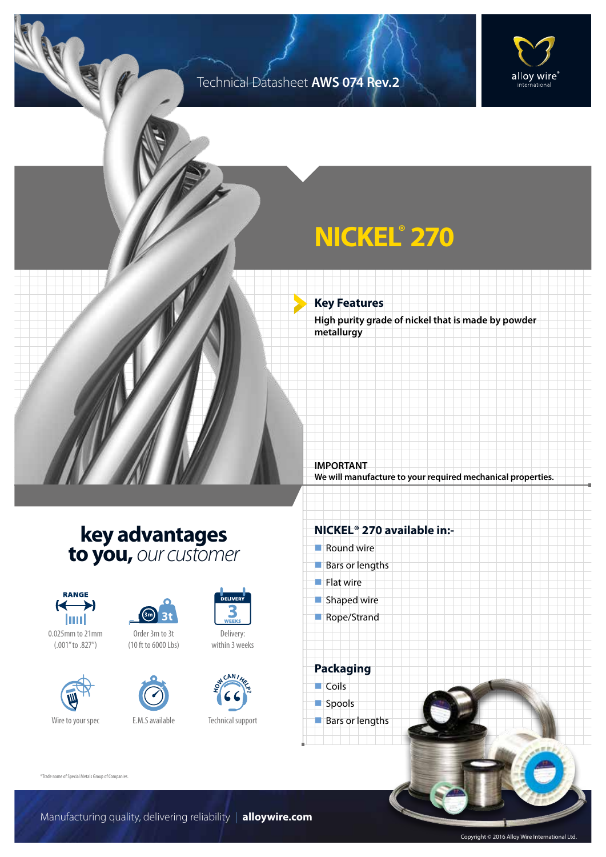### Technical Datasheet **AWS 074 Rev.2**



## **NICKEL® 270**

**Key Features**

**High purity grade of nickel that is made by powder metallurgy**

**We will manufacture to your required mechanical properties.**

### **key advantages to you,** *our customer*



0.025mm to 21mm (.001" to .827")





(10 ft to 6000 Lbs)





Technical support

#### **NICKEL® 270 available in:-**

 $\blacksquare$  Round wire

**IMPORTANT**

- $Bars$  or lengths
- $\blacksquare$  Flat wire
- $\blacksquare$  Shaped wire
- Rope/Strand

**Packaging**  $\Box$  Coils spools  $\blacksquare$  Bars or lengths

®Trade name of Special Metals Group of Companies.

Manufacturing quality, delivering reliability | **alloywire.com**

Copyright © 2016 Alloy Wire International Ltd.